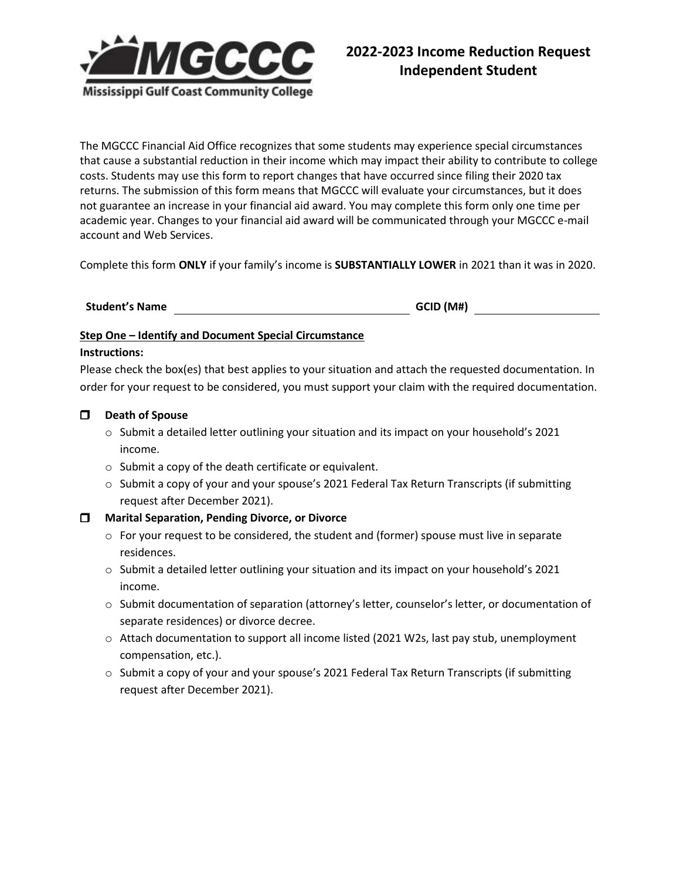

The MGCCC Financial Aid Office recognizes that some students may experience special circumstances that cause a substantial reduction in their income which may impact their ability to contribute to college costs. Students may use this form to report changes that have occurred since filing their 2020 tax returns. The submission of this form means that MGCCC will evaluate your circumstances, but it does not guarantee an increase in your financial aid award. You may complete this form only one time per academic year. Changes to your financial aid award will be communicated through your MGCCC e-mail account and Web Services.

Complete this form **ONLY** if your family's income is **SUBSTANTIALLY LOWER** in 2021 than it was in 2020.

## **Student's Name GCID (M#)**

## **Step One – Identify and Document Special Circumstance**

#### **Instructions:**

Please check the box(es) that best applies to your situation and attach the requested documentation. In order for your request to be considered, you must support your claim with the required documentation.

## **Death of Spouse**

- o Submit a detailed letter outlining your situation and its impact on your household's 2021 income.
- o Submit a copy of the death certificate or equivalent.
- $\circ$  Submit a copy of your and your spouse's 2021 Federal Tax Return Transcripts (if submitting request after December 2021).

## **Marital Separation, Pending Divorce, or Divorce**

- $\circ$  For your request to be considered, the student and (former) spouse must live in separate residences.
- o Submit a detailed letter outlining your situation and its impact on your household's 2021 income.
- o Submit documentation of separation (attorney's letter, counselor's letter, or documentation of separate residences) or divorce decree.
- o Attach documentation to support all income listed (2021 W2s, last pay stub, unemployment compensation, etc.).
- o Submit a copy of your and your spouse's 2021 Federal Tax Return Transcripts (if submitting request after December 2021).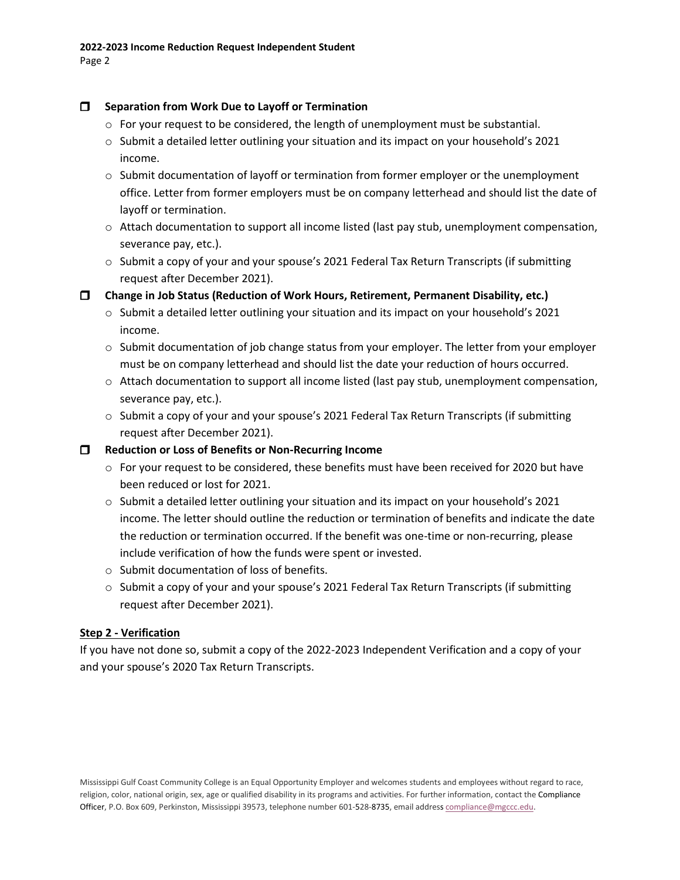# **Separation from Work Due to Layoff or Termination**

- $\circ$  For your request to be considered, the length of unemployment must be substantial.
- $\circ$  Submit a detailed letter outlining your situation and its impact on your household's 2021 income.
- $\circ$  Submit documentation of layoff or termination from former employer or the unemployment office. Letter from former employers must be on company letterhead and should list the date of layoff or termination.
- $\circ$  Attach documentation to support all income listed (last pay stub, unemployment compensation, severance pay, etc.).
- $\circ$  Submit a copy of your and your spouse's 2021 Federal Tax Return Transcripts (if submitting request after December 2021).

**Change in Job Status (Reduction of Work Hours, Retirement, Permanent Disability, etc.)**

- $\circ$  Submit a detailed letter outlining your situation and its impact on your household's 2021 income.
- $\circ$  Submit documentation of job change status from your employer. The letter from your employer must be on company letterhead and should list the date your reduction of hours occurred.
- $\circ$  Attach documentation to support all income listed (last pay stub, unemployment compensation, severance pay, etc.).
- o Submit a copy of your and your spouse's 2021 Federal Tax Return Transcripts (if submitting request after December 2021).

**Reduction or Loss of Benefits or Non-Recurring Income**

- $\circ$  For your request to be considered, these benefits must have been received for 2020 but have been reduced or lost for 2021.
- o Submit a detailed letter outlining your situation and its impact on your household's 2021 income. The letter should outline the reduction or termination of benefits and indicate the date the reduction or termination occurred. If the benefit was one-time or non-recurring, please include verification of how the funds were spent or invested.
- o Submit documentation of loss of benefits.
- $\circ$  Submit a copy of your and your spouse's 2021 Federal Tax Return Transcripts (if submitting request after December 2021).

# **Step 2 - Verification**

If you have not done so, submit a copy of the 2022-2023 Independent Verification and a copy of your and your spouse's 2020 Tax Return Transcripts.